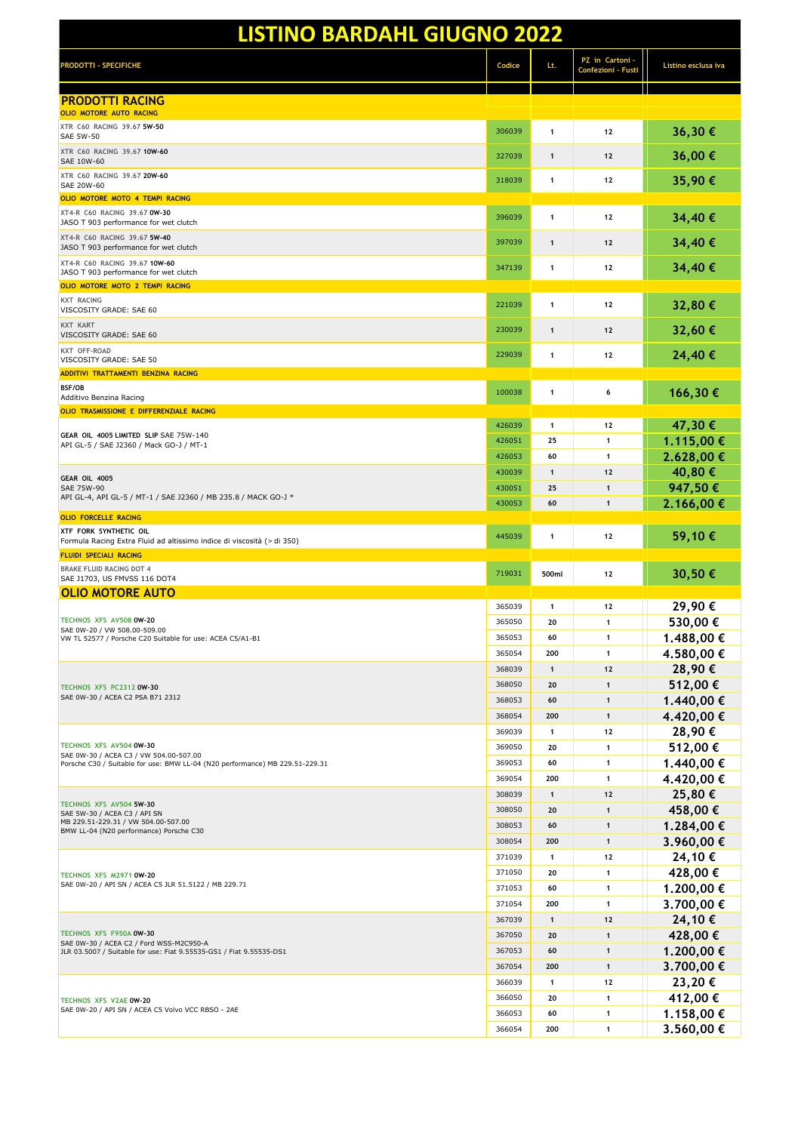| <b>LISTINO BARDAHL GIUGNO 2022</b>                                                                             |                  |                     |                                              |                          |
|----------------------------------------------------------------------------------------------------------------|------------------|---------------------|----------------------------------------------|--------------------------|
| <b>PRODOTTI - SPECIFICHE</b>                                                                                   | Codice           | Lt.                 | PZ in Cartoni -<br><b>Confezioni - Fusti</b> | Listino esclusa iva      |
| <b>PRODOTTI RACING</b><br>OLIO MOTORE AUTO RACING                                                              |                  |                     |                                              |                          |
| XTR C60 RACING 39.67 5W-50<br><b>SAE 5W-50</b>                                                                 | 306039           | $\mathbf{1}$        | 12                                           | 36,30€                   |
| XTR C60 RACING 39.67 10W-60<br>SAE 10W-60                                                                      | 327039           | $\mathbf{1}$        | 12                                           | 36,00€                   |
| XTR C60 RACING 39.67 20W-60                                                                                    | 318039           | $\mathbf{1}$        | 12                                           | 35,90€                   |
| SAE 20W-60<br>OLIO MOTORE MOTO 4 TEMPI RACING                                                                  |                  |                     |                                              |                          |
| XT4-R C60 RACING 39.67 0W-30<br>JASO T 903 performance for wet clutch                                          | 396039           | $\mathbf{1}$        | 12                                           | 34,40€                   |
| XT4-R C60 RACING 39.67 5W-40<br>JASO T 903 performance for wet clutch                                          | 397039           | $\mathbf{1}$        | 12                                           | 34,40€                   |
| XT4-R C60 RACING 39.67 10W-60<br>JASO T 903 performance for wet clutch                                         | 347139           | 1                   | 12                                           | 34,40€                   |
| OLIO MOTORE MOTO 2 TEMPI RACING                                                                                |                  |                     |                                              |                          |
| <b>KXT RACING</b><br>VISCOSITY GRADE: SAE 60                                                                   | 221039           | $\mathbf{1}$        | 12                                           | 32,80€                   |
| KXT KART<br>VISCOSITY GRADE: SAE 60                                                                            | 230039           | $\mathbf{1}$        | 12                                           | 32,60€                   |
| KXT OFF-ROAD<br>VISCOSITY GRADE: SAE 50                                                                        | 229039           | $\mathbf{1}$        | 12                                           | 24,40€                   |
| ADDITIVI TRATTAMENTI BENZINA RACING                                                                            |                  |                     |                                              |                          |
| BSF/OB<br>Additivo Benzina Racing                                                                              | 100038           | $\mathbf{1}$        | 6                                            | 166,30€                  |
| OLIO TRASMISSIONE E DIFFERENZIALE RACING                                                                       | 426039           | 1                   | 12                                           | 47,30€                   |
| GEAR OIL 4005 LIMITED SLIP SAE 75W-140<br>API GL-5 / SAE J2360 / Mack GO-J / MT-1                              | 426051           | 25                  | 1                                            | 1.115,00 €               |
|                                                                                                                | 426053           | 60                  | $\mathbf{1}$                                 | 2.628,00 €               |
| GEAR OIL 4005                                                                                                  | 430039           | $\mathbf{1}$        | 12                                           | 40,80 €                  |
| SAE 75W-90<br>API GL-4, API GL-5 / MT-1 / SAE J2360 / MB 235.8 / MACK GO-J *                                   | 430051           | 25                  | $\mathbf{1}$                                 | 947,50€                  |
| <b>OLIO FORCELLE RACING</b>                                                                                    | 430053           | 60                  | $\mathbf{1}$                                 | 2.166,00 €               |
| XTF FORK SYNTHETIC OIL<br>Formula Racing Extra Fluid ad altissimo indice di viscosità (> di 350)               | 445039           | 1                   | 12                                           | 59,10 €                  |
| <b>FLUIDI SPECIALI RACING</b><br><b>BRAKE FLUID RACING DOT 4</b>                                               |                  |                     |                                              |                          |
| SAE J1703, US FMVSS 116 DOT4                                                                                   | 719031           | 500ml               | 12                                           | 30,50€                   |
| <u>OLIO MOTORE AUTO</u>                                                                                        | 365039           | 1                   | 12                                           | 29,90€                   |
| TECHNOS XFS AV508 0W-20                                                                                        | 365050           | 20                  | 1                                            | 530,00€                  |
| SAE 0W-20 / VW 508.00-509.00<br>VW TL 52577 / Porsche C20 Suitable for use: ACEA C5/A1-B1                      | 365053           | 60                  | $\mathbf{1}$                                 | 1.488,00 €               |
|                                                                                                                | 365054           | 200                 | $\mathbf{1}$                                 | 4.580,00 €               |
|                                                                                                                | 368039           | $\mathbf{1}$        | $12$                                         | 28,90€                   |
| TECHNOS XFS PC2312 0W-30<br>SAE 0W-30 / ACEA C2 PSA B71 2312                                                   | 368050<br>368053 | 20<br>60            | $\mathbf{1}$<br>$\mathbf{1}$                 | 512,00€<br>1.440,00 €    |
|                                                                                                                | 368054           | 200                 | $\mathbf{1}$                                 | 4.420,00 €               |
|                                                                                                                | 369039           | $\mathbf{1}$        | 12                                           | 28,90€                   |
| TECHNOS XFS AV504 0W-30<br>SAE 0W-30 / ACEA C3 / VW 504.00-507.00                                              | 369050           | 20                  | $\mathbf{1}$                                 | 512,00€                  |
| Porsche C30 / Suitable for use: BMW LL-04 (N20 performance) MB 229.51-229.31                                   | 369053           | 60                  | $\mathbf{1}$                                 | 1.440,00 €               |
|                                                                                                                | 369054           | 200                 | $\mathbf{1}$                                 | 4.420,00 €               |
| TECHNOS XFS AV504 5W-30                                                                                        | 308039<br>308050 | $\mathbf{1}$<br>20  | 12<br>$\mathbf{1}$                           | 25,80€<br>458,00€        |
| SAE 5W-30 / ACEA C3 / API SN<br>MB 229.51-229.31 / VW 504.00-507.00                                            | 308053           | 60                  | $\mathbf{1}$                                 | 1.284,00 €               |
| BMW LL-04 (N20 performance) Porsche C30                                                                        | 308054           | 200                 | $\mathbf{1}$                                 | 3.960,00 €               |
|                                                                                                                | 371039           | 1                   | 12                                           | 24,10€                   |
| TECHNOS XFS M2971 0W-20                                                                                        | 371050           | 20                  | $\mathbf{1}$                                 | 428,00€                  |
| SAE 0W-20 / API SN / ACEA C5 JLR 51.5122 / MB 229.71                                                           | 371053           | 60                  | $\mathbf{1}$                                 | 1.200,00 €               |
|                                                                                                                | 371054<br>367039 | 200<br>$\mathbf{1}$ | $\mathbf{1}$<br>12                           | 3.700,00 €<br>24,10€     |
| TECHNOS XFS F950A 0W-30                                                                                        | 367050           | 20                  | $\mathbf{1}$                                 | 428,00€                  |
| SAE 0W-30 / ACEA C2 / Ford WSS-M2C950-A<br>JLR 03.5007 / Suitable for use: Fiat 9.55535-GS1 / Fiat 9.55535-DS1 | 367053           | 60                  | $\mathbf{1}$                                 | 1.200,00 €               |
|                                                                                                                | 367054           | 200                 | $\mathbf{1}$                                 | 3.700,00 €               |
|                                                                                                                | 366039           | $\mathbf{1}$        | 12                                           | 23,20€                   |
| TECHNOS XFS V2AE 0W-20<br>SAE 0W-20 / API SN / ACEA C5 Volvo VCC RBSO - 2AE                                    | 366050           | 20                  | $\mathbf{1}$                                 | 412,00€                  |
|                                                                                                                | 366053<br>366054 | 60<br>200           | $\mathbf{1}$<br>$\mathbf{1}$                 | 1.158,00 €<br>3.560,00 € |
|                                                                                                                |                  |                     |                                              |                          |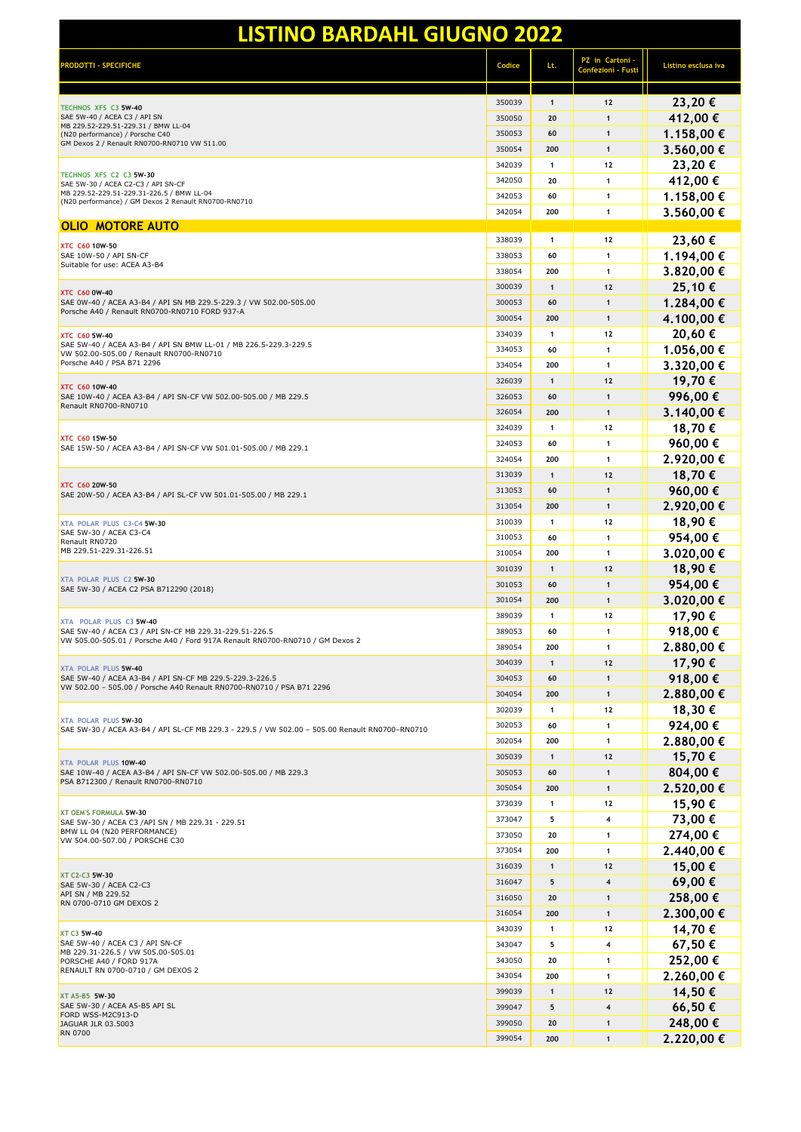| <b>PRODOTTI - SPECIFICHE</b>                                                                                                            | Codice | Lt.          | PZ in Cartoni -<br>Confezioni - Fust | Listino esclusa iva |
|-----------------------------------------------------------------------------------------------------------------------------------------|--------|--------------|--------------------------------------|---------------------|
|                                                                                                                                         | 350039 | $\mathbf{1}$ | $12$                                 | 23,20€              |
| TECHNOS XFS C3 5W-40<br>SAE 5W-40 / ACEA C3 / API SN                                                                                    | 350050 | 20           | $\mathbf{1}$                         | 412,00€             |
| MB 229.52-229.51-229.31 / BMW LL-04<br>(N20 performance) / Porsche C40                                                                  | 350053 | 60           | $\mathbf{1}$                         | 1.158,00 €          |
| GM Dexos 2 / Renault RN0700-RN0710 VW 511.00                                                                                            | 350054 | 200          | $\mathbf{1}$                         | 3.560,00 €          |
|                                                                                                                                         | 342039 | 1            | 12                                   | 23,20€              |
| TECHNOS XFS C2 C3 5W-30<br>SAE 5W-30 / ACEA C2-C3 / API SN-CF                                                                           | 342050 | 20           | $\mathbf{1}$                         | 412,00€             |
| MB 229.52-229.51-229.31-226.5 / BMW LL-04                                                                                               | 342053 | 60           | $\mathbf{1}$                         | 1.158,00 €          |
| (N20 performance) / GM Dexos 2 Renault RN0700-RN0710                                                                                    | 342054 | 200          | $\mathbf{1}$                         | 3.560,00 €          |
| <b>OLIO MOTORE AUTO</b>                                                                                                                 |        |              |                                      |                     |
| <b>XTC C60 10W-50</b>                                                                                                                   | 338039 | 1            | 12                                   | 23,60€              |
| SAE 10W-50 / API SN-CF<br>Suitable for use: ACEA A3-B4                                                                                  | 338053 | 60           | $\mathbf{1}$                         | 1.194,00 €          |
|                                                                                                                                         | 338054 | 200          | $\mathbf{1}$                         | 3.820,00 €          |
| <b>XTC C60 0W-40</b>                                                                                                                    | 300039 | $\mathbf{1}$ | 12                                   | 25,10€              |
| SAE 0W-40 / ACEA A3-B4 / API SN MB 229.5-229.3 / VW 502.00-505.00<br>Porsche A40 / Renault RN0700-RN0710 FORD 937-A                     | 300053 | 60           | $\mathbf{1}$                         | 1.284,00 €          |
|                                                                                                                                         | 300054 | 200          | $\mathbf{1}$                         | 4.100,00 €          |
| <b>XTC C60 5W-40</b>                                                                                                                    | 334039 | 1            | 12                                   | 20,60€              |
| SAE 5W-40 / ACEA A3-B4 / API SN BMW LL-01 / MB 226.5-229.3-229.5<br>VW 502.00-505.00 / Renault RN0700-RN0710                            | 334053 | 60           | $\mathbf{1}$                         | 1.056,00 €          |
| Porsche A40 / PSA B71 2296                                                                                                              | 334054 | 200          | $\mathbf{1}$                         | 3.320,00 €          |
| <b>XTC C60 10W-40</b>                                                                                                                   | 326039 | $\mathbf{1}$ | $12$                                 | 19,70€              |
| SAE 10W-40 / ACEA A3-B4 / API SN-CF VW 502.00-505.00 / MB 229.5<br>Renault RN0700-RN0710                                                | 326053 | 60           | $\mathbf{1}$                         | 996,00€             |
|                                                                                                                                         | 326054 | 200          | $\mathbf{1}$                         | 3.140,00 €          |
|                                                                                                                                         | 324039 | 1            | 12                                   | 18,70€              |
| <b>XTC C60 15W-50</b><br>SAE 15W-50 / ACEA A3-B4 / API SN-CF VW 501.01-505.00 / MB 229.1                                                | 324053 | 60           | $\mathbf{1}$                         | 960,00€             |
|                                                                                                                                         | 324054 | 200          | $\mathbf{1}$                         | 2.920,00 €          |
|                                                                                                                                         | 313039 | $\mathbf{1}$ | 12                                   | 18,70€              |
| <b>XTC C60 20W-50</b><br>SAE 20W-50 / ACEA A3-B4 / API SL-CF VW 501.01-505.00 / MB 229.1                                                | 313053 | 60           | $\mathbf{1}$                         | 960,00€             |
|                                                                                                                                         | 313054 | 200          | $\mathbf{1}$                         | 2.920,00 €          |
| XTA POLAR PLUS C3-C4 5W-30                                                                                                              | 310039 | 1            | 12                                   | 18,90€              |
| SAE 5W-30 / ACEA C3-C4<br>Renault RN0720                                                                                                | 310053 | 60           | $\mathbf{1}$                         | 954,00€             |
| MB 229.51-229.31-226.51                                                                                                                 | 310054 | 200          | $\mathbf{1}$                         | 3.020,00 €          |
|                                                                                                                                         | 301039 | $\mathbf{1}$ | $12$                                 | 18,90€              |
| XTA POLAR PLUS C2 5W-30<br>SAE 5W-30 / ACEA C2 PSA B712290 (2018)                                                                       | 301053 | 60           | $\mathbf{1}$                         | 954,00€             |
|                                                                                                                                         | 301054 | 200          | $\mathbf{1}$                         | 3.020,00 €          |
| XTA POLAR PLUS C3 5W-40                                                                                                                 | 389039 | $\mathbf{1}$ | 12                                   | 17,90€              |
| SAE 5W-40 / ACEA C3 / API SN-CF MB 229.31-229.51-226.5<br>VW 505.00-505.01 / Porsche A40 / Ford 917A Renault RN0700-RN0710 / GM Dexos 2 | 389053 | 60           | $\mathbf{1}$                         | 918,00€             |
|                                                                                                                                         | 389054 | 200          | 1                                    | 2.880,00 €          |
| XTA POLAR PLUS 5W-40                                                                                                                    | 304039 | $\mathbf{1}$ | 12                                   | 17,90€              |
| SAE 5W-40 / ACEA A3-B4 / API SN-CF MB 229.5-229.3-226.5<br>VW 502.00 - 505.00 / Porsche A40 Renault RN0700-RN0710 / PSA B71 2296        | 304053 | 60           | $\mathbf{1}$                         | 918,00€             |
|                                                                                                                                         | 304054 | 200          | $\mathbf{1}$                         | 2.880,00 €          |
| <b>XTA POLAR PLUS 5W-30</b>                                                                                                             | 302039 | 1            | 12                                   | 18,30€              |
| SAE 5W-30 / ACEA A3-B4 / API SL-CF MB 229.3 - 229.5 / VW 502.00 - 505.00 Renault RN0700-RN0710                                          | 302053 | 60           | $\mathbf{1}$                         | 924,00€             |
|                                                                                                                                         | 302054 | 200          | $\mathbf{1}$                         | 2.880,00€           |
| <b>XTA POLAR PLUS 10W-40</b>                                                                                                            | 305039 | $\mathbf{1}$ | $12$                                 | 15,70€              |
| SAE 10W-40 / ACEA A3-B4 / API SN-CF VW 502.00-505.00 / MB 229.3<br>PSA B712300 / Renault RN0700-RN0710                                  | 305053 | 60           | $\mathbf{1}$                         | 804,00€             |
|                                                                                                                                         | 305054 | 200          | $\mathbf{1}$                         | 2.520,00 €          |
| XT OEM'S FORMULA 5W-30                                                                                                                  | 373039 | 1            | 12                                   | 15,90€              |
| SAE 5W-30 / ACEA C3 /API SN / MB 229.31 - 229.51                                                                                        | 373047 | 5            | 4                                    | 73,00 €             |
| BMW LL 04 (N20 PERFORMANCE)<br>VW 504.00-507.00 / PORSCHE C30                                                                           | 373050 | 20           | $\mathbf{1}$                         | 274,00€             |
|                                                                                                                                         | 373054 | 200          | $\mathbf{1}$                         | 2.440,00 €          |
| XT C2-C3 5W-30                                                                                                                          | 316039 | $\mathbf{1}$ | 12                                   | 15,00€              |
| SAE 5W-30 / ACEA C2-C3                                                                                                                  | 316047 | 5            | $\overline{\mathbf{4}}$              | 69,00€              |
| API SN / MB 229.52<br>RN 0700-0710 GM DEXOS 2                                                                                           | 316050 | 20           | $\mathbf{1}$                         | 258,00€             |
|                                                                                                                                         | 316054 | 200          | $\mathbf{1}$                         | 2.300,00 €          |
| <b>XT C3 5W-40</b>                                                                                                                      | 343039 | $\mathbf{1}$ | 12                                   | 14,70€              |
| SAE 5W-40 / ACEA C3 / API SN-CF<br>MB 229.31-226.5 / VW 505.00-505.01                                                                   | 343047 | 5            | 4                                    | 67,50€              |
| PORSCHE A40 / FORD 917A<br>RENAULT RN 0700-0710 / GM DEXOS 2                                                                            | 343050 | 20           | $\mathbf{1}$                         | 252,00€             |
|                                                                                                                                         | 343054 | 200          | $\mathbf{1}$                         | 2.260,00€           |
| XT A5-B5 5W-30<br>SAE 5W-30 / ACEA A5-B5 API SL<br>FORD WSS-M2C913-D                                                                    | 399039 | $\mathbf{1}$ | 12                                   | 14,50€              |
|                                                                                                                                         | 399047 | 5            | $\overline{\mathbf{4}}$              | 66,50€              |
| JAGUAR JLR 03.5003<br><b>RN 0700</b>                                                                                                    | 399050 | 20           | $\mathbf{1}$                         | 248,00€             |
|                                                                                                                                         | 399054 | 200          | $\mathbf{1}$                         | 2.220,00€           |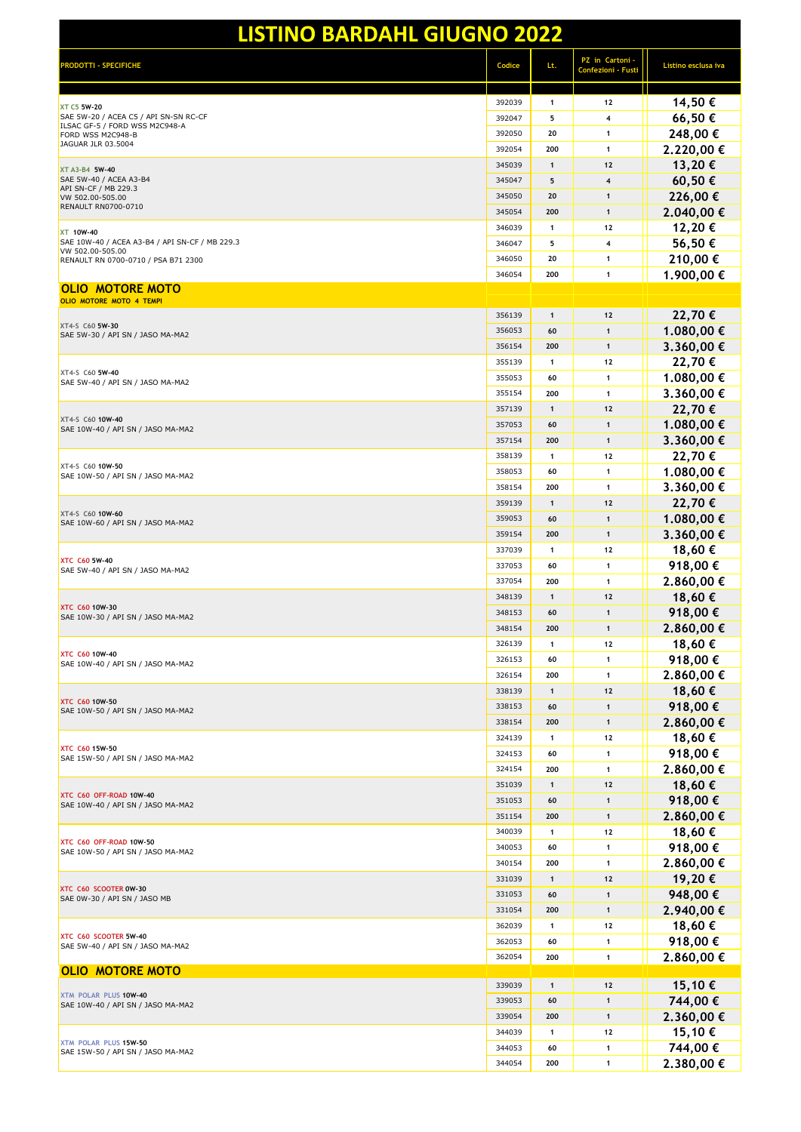| <b>PRODOTTI - SPECIFICHE</b>                                       | Codice | Lt.          | PZ in Cartoni -<br><b>Confezioni - Fust</b> | Listino esclusa iva |
|--------------------------------------------------------------------|--------|--------------|---------------------------------------------|---------------------|
| <b>XT C5 5W-20</b>                                                 | 392039 | $\mathbf{1}$ | 12                                          | 14,50€              |
| SAE 5W-20 / ACEA C5 / API SN-SN RC-CF                              | 392047 | 5            | 4                                           | 66,50€              |
| ILSAC GF-5 / FORD WSS M2C948-A<br>FORD WSS M2C948-B                | 392050 | 20           | $\mathbf{1}$                                | 248,00€             |
| JAGUAR JLR 03.5004                                                 | 392054 | 200          | 1                                           | 2.220,00€           |
| XT A3-B4 5W-40                                                     | 345039 | $\mathbf{1}$ | 12                                          | 13,20€              |
| SAE 5W-40 / ACEA A3-B4                                             | 345047 | 5            | $\overline{\mathbf{4}}$                     | 60,50€              |
| API SN-CF / MB 229.3<br>VW 502.00-505.00                           | 345050 | 20           | $\mathbf{1}$                                | 226,00€             |
| <b>RENAULT RN0700-0710</b>                                         | 345054 | 200          | $\mathbf{1}$                                | 2.040,00 €          |
| <b>XT 10W-40</b>                                                   | 346039 | 1            | 12                                          | 12,20€              |
| SAE 10W-40 / ACEA A3-B4 / API SN-CF / MB 229.3<br>VW 502.00-505.00 | 346047 | 5            | 4                                           | 56,50€              |
| RENAULT RN 0700-0710 / PSA B71 2300                                | 346050 | 20           | 1                                           | 210,00€             |
|                                                                    | 346054 | 200          | $\mathbf{1}$                                | 1.900,00 €          |
| OLIO MOTORE MOTO<br>OLIO MOTORE MOTO 4 TEMPI                       |        |              |                                             |                     |
|                                                                    | 356139 | $\mathbf{1}$ | $12$                                        | 22,70€              |
| XT4-S C60 5W-30                                                    | 356053 | 60           | $\mathbf{1}$                                | 1.080,00 €          |
| SAE 5W-30 / API SN / JASO MA-MA2                                   | 356154 | 200          | $\mathbf{1}$                                | 3.360,00 €          |
|                                                                    | 355139 | 1            | 12                                          | 22,70€              |
| XT4-S C60 5W-40                                                    | 355053 | 60           | $\mathbf{1}$                                | 1.080,00 €          |
| SAE 5W-40 / API SN / JASO MA-MA2                                   | 355154 | 200          | 1                                           | 3.360,00€           |
|                                                                    | 357139 | 1            | $12$                                        | 22,70€              |
| XT4-S C60 10W-40                                                   | 357053 | 60           | $\mathbf{1}$                                | 1.080,00 €          |
| SAE 10W-40 / API SN / JASO MA-MA2                                  | 357154 | 200          | $\mathbf{1}$                                | 3.360,00 €          |
|                                                                    | 358139 | 1            | 12                                          | 22,70€              |
| XT4-S C60 10W-50                                                   | 358053 | 60           | $\mathbf{1}$                                | 1.080,00 €          |
| SAE 10W-50 / API SN / JASO MA-MA2                                  | 358154 | 200          | $\mathbf{1}$                                | 3.360,00 €          |
|                                                                    | 359139 | 1            | 12                                          | 22,70€              |
| XT4-S C60 10W-60                                                   | 359053 | 60           | $\mathbf{1}$                                | 1.080,00 €          |
| SAE 10W-60 / API SN / JASO MA-MA2                                  | 359154 | 200          | $\mathbf{1}$                                | 3.360,00 €          |
|                                                                    | 337039 | 1            | 12                                          | 18,60€              |
| <b>XTC C60 5W-40</b>                                               | 337053 | 60           | 1                                           | 918,00€             |
| SAE 5W-40 / API SN / JASO MA-MA2                                   | 337054 | 200          | $\mathbf{1}$                                | 2.860,00 €          |
|                                                                    | 348139 | 1            | 12                                          | 18,60€              |
| <b>XTC C60 10W-30</b>                                              | 348153 | 60           | $\mathbf{1}$                                | 918,00€             |
| SAE 10W-30 / API SN / JASO MA-MA2                                  | 348154 | 200          | $\mathbf{1}$                                | 2.860,00 €          |
|                                                                    | 326139 | 1            | 12                                          | 18,60 €             |
| <b>XTC C60 10W-40</b>                                              | 326153 | 60           | 1                                           | 918,00€             |
| SAE 10W-40 / API SN / JASO MA-MA2                                  | 326154 | 200          | $\mathbf{1}$                                | 2.860,00€           |
|                                                                    | 338139 | $\mathbf{1}$ | $12$                                        | 18,60€              |
| <b>XTC C60 10W-50</b>                                              | 338153 | 60           | $\mathbf{1}$                                | 918,00€             |
| SAE 10W-50 / API SN / JASO MA-MA2                                  | 338154 | 200          | $\mathbf{1}$                                | 2.860,00 €          |
|                                                                    | 324139 | $\mathbf{1}$ | 12                                          | 18,60€              |
| <b>XTC C60 15W-50</b>                                              | 324153 | 60           | $\mathbf{1}$                                | 918,00€             |
| SAE 15W-50 / API SN / JASO MA-MA2                                  | 324154 | 200          | $\mathbf{1}$                                | 2.860,00 €          |
|                                                                    | 351039 | 1            | $12$                                        | 18,60€              |
| XTC C60 OFF-ROAD 10W-40<br>SAE 10W-40 / API SN / JASO MA-MA2       | 351053 | 60           | $\mathbf{1}$                                | 918,00€             |
|                                                                    | 351154 | 200          | $\mathbf{1}$                                | 2.860,00 €          |
|                                                                    | 340039 | 1            | 12                                          | 18,60€              |
| XTC C60 OFF-ROAD 10W-50<br>SAE 10W-50 / API SN / JASO MA-MA2       | 340053 | 60           | 1                                           | 918,00€             |
|                                                                    | 340154 | 200          | 1                                           | 2.860,00€           |
|                                                                    | 331039 | 1            | 12                                          | 19,20€              |
| XTC C60 SCOOTER 0W-30<br>SAE 0W-30 / API SN / JASO MB              | 331053 | 60           | $\mathbf{1}$                                | 948,00€             |
|                                                                    | 331054 | 200          | $\mathbf{1}$                                | 2.940,00 €          |
|                                                                    | 362039 | 1            | 12                                          | 18,60€              |
| XTC C60 SCOOTER 5W-40<br>SAE 5W-40 / API SN / JASO MA-MA2          | 362053 | 60           | 1                                           | 918,00€             |
|                                                                    | 362054 | 200          | $\mathbf{1}$                                | 2.860,00 €          |
| <b>OLIO MOTORE MOTO</b>                                            |        |              |                                             |                     |
|                                                                    | 339039 | $\mathbf{1}$ | $12$                                        | 15,10€              |
| XTM POLAR PLUS 10W-40<br>SAE 10W-40 / API SN / JASO MA-MA2         | 339053 | 60           | $\mathbf{1}$                                | 744,00 €            |
|                                                                    | 339054 | 200          | $\mathbf{1}$                                | 2.360,00 €          |
| XTM POLAR PLUS 15W-50<br>SAE 15W-50 / API SN / JASO MA-MA2         | 344039 | 1            | 12                                          | 15,10€              |
|                                                                    | 344053 | 60           | $\mathbf{1}$                                | 744,00 €            |
|                                                                    | 344054 | 200          | $\mathbf{1}$                                | 2.380,00 €          |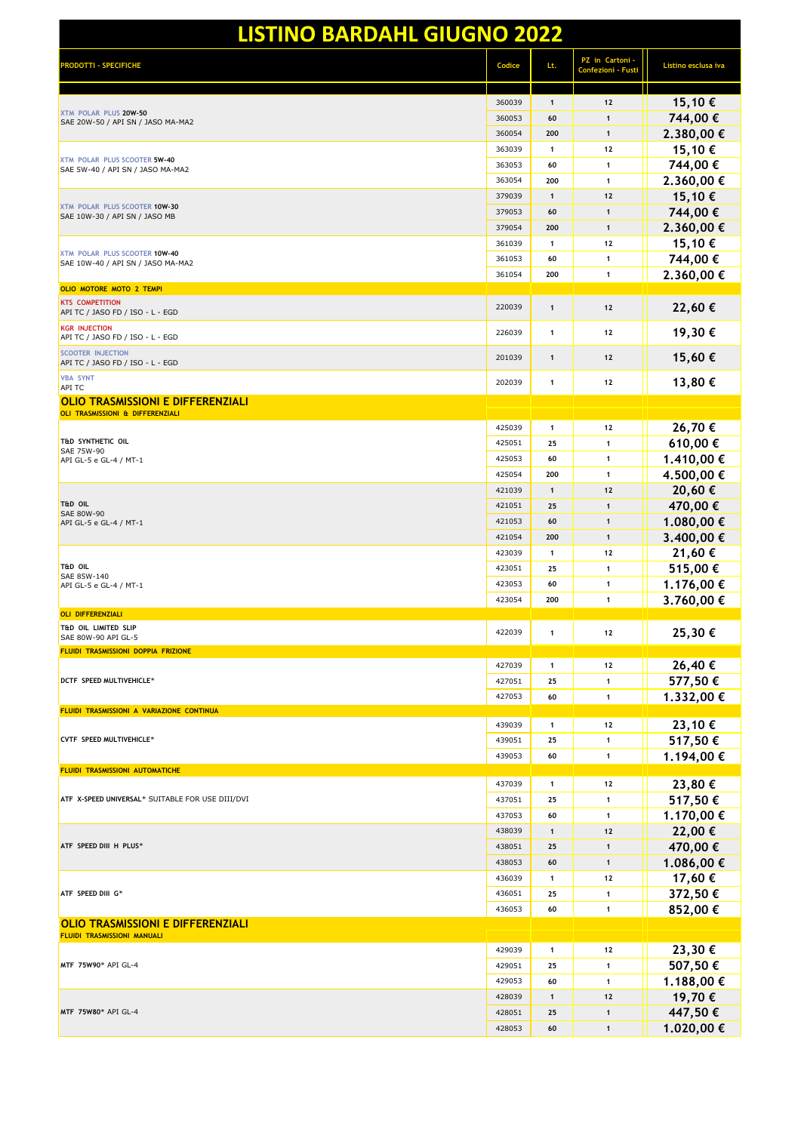| RODOTTI - SPECIFICHE                                                         | Codice | Lt.          | PZ in Cartoni -<br>Confezioni - Fusti | Listino esclusa iva |
|------------------------------------------------------------------------------|--------|--------------|---------------------------------------|---------------------|
| XTM POLAR PLUS 20W-50<br>SAE 20W-50 / API SN / JASO MA-MA2                   | 360039 | $\mathbf{1}$ | $12$                                  | 15,10€              |
|                                                                              | 360053 | 60           | $\mathbf{1}$                          | 744,00 €            |
|                                                                              | 360054 | 200          | $\mathbf{1}$                          | 2.380,00 €          |
|                                                                              | 363039 | $\mathbf{1}$ | 12                                    | 15,10€              |
| XTM POLAR PLUS SCOOTER 5W-40<br>SAE 5W-40 / API SN / JASO MA-MA2             | 363053 | 60           | $\mathbf{1}$                          | 744,00€             |
|                                                                              | 363054 | 200          | $\mathbf{1}$                          | 2.360,00 €          |
|                                                                              | 379039 | $\mathbf{1}$ | 12                                    | 15,10€              |
| XTM POLAR PLUS SCOOTER 10W-30<br>SAE 10W-30 / API SN / JASO MB               | 379053 | 60           | $\mathbf{1}$                          | 744,00 €            |
|                                                                              | 379054 | 200          | $\mathbf{1}$                          | 2.360,00 €          |
|                                                                              | 361039 | $\mathbf{1}$ | 12                                    | 15,10€              |
| XTM POLAR PLUS SCOOTER 10W-40<br>SAE 10W-40 / API SN / JASO MA-MA2           | 361053 | 60           | 1                                     | 744,00€             |
|                                                                              | 361054 | 200          | $\mathbf{1}$                          | 2.360,00€           |
| OLIO MOTORE MOTO 2 TEMPI                                                     |        |              |                                       |                     |
| <b>KTS COMPETITION</b><br>API TC / JASO FD / ISO - L - EGD                   | 220039 | $\mathbf{1}$ | 12                                    | 22,60€              |
| <b>KGR INJECTION</b><br>API TC / JASO FD / ISO - L - EGD                     | 226039 | $\mathbf{1}$ | 12                                    | 19,30€              |
| <b>SCOOTER INJECTION</b><br>API TC / JASO FD / ISO - L - EGD                 | 201039 | $\mathbf{1}$ | 12                                    | 15,60€              |
| <b>VBA SYNT</b><br><b>API TC</b>                                             | 202039 | $\mathbf{1}$ | 12                                    | 13,80€              |
| <b>OLIO TRASMISSIONI E DIFFERENZIALI</b><br>OLI TRASMISSIONI & DIFFERENZIALI |        |              |                                       |                     |
|                                                                              | 425039 | $\mathbf{1}$ | 12                                    | 26,70€              |
| <b>T&amp;D SYNTHETIC OIL</b>                                                 | 425051 | 25           | $\mathbf{1}$                          | 610,00€             |
| SAE 75W-90<br>API GL-5 e GL-4 / MT-1                                         | 425053 | 60           | $\mathbf{1}$                          | 1.410,00 €          |
|                                                                              | 425054 | 200          | $\mathbf{1}$                          | 4.500,00 €          |
|                                                                              | 421039 | $\mathbf{1}$ | 12                                    | 20,60€              |
| <b>T&amp;D OIL</b>                                                           | 421051 | 25           | $\mathbf{1}$                          | 470,00€             |
| SAE 80W-90<br>API GL-5 e GL-4 / MT-1                                         | 421053 | 60           | $\mathbf{1}$                          | 1.080,00 €          |
|                                                                              | 421054 | 200          | $\mathbf{1}$                          | 3.400,00 €          |
|                                                                              | 423039 | $\mathbf{1}$ | 12                                    | 21,60€              |
| <b>T&amp;D OIL</b>                                                           | 423051 | 25           | $\mathbf{1}$                          | 515,00€             |
| SAE 85W-140<br>API GL-5 e GL-4 / MT-1                                        | 423053 | 60           | $\mathbf{1}$                          | 1.176,00 €          |
|                                                                              | 423054 | 200          | $\mathbf{1}$                          | 3.760,00 €          |
| <b>OLI DIFFERENZIALI</b>                                                     |        |              |                                       |                     |
| <b>T&amp;D OIL LIMITED SLIP</b><br>SAE 80W-90 API GL-5                       | 422039 | $\mathbf{1}$ | 12                                    | 25,30€              |
| FLUIDI TRASMISSIONI DOPPIA FRIZIONE                                          |        |              |                                       |                     |
|                                                                              | 427039 | $\mathbf{1}$ | 12                                    | 26,40€              |
| DCTF SPEED MULTIVEHICLE*                                                     | 427051 | 25           | $\mathbf{1}$                          | 577,50€             |
|                                                                              | 427053 | 60           | $\mathbf{1}$                          | 1.332,00 €          |
| FLUIDI TRASMISSIONI A VARIAZIONE CONTINUA                                    |        |              |                                       |                     |
|                                                                              | 439039 | $\mathbf{1}$ | 12                                    | 23,10€              |
| CVTF SPEED MULTIVEHICLE*                                                     | 439051 | 25           | 1                                     | 517,50€             |
| FLUIDI TRASMISSIONI AUTOMATICHE                                              | 439053 | 60           | $\mathbf{1}$                          | 1.194,00 €          |
|                                                                              | 437039 | $\mathbf{1}$ | 12                                    | 23,80€              |
| ATF X-SPEED UNIVERSAL* SUITABLE FOR USE DIII/DVI                             | 437051 | 25           | $\mathbf{1}$                          | 517,50€             |
|                                                                              | 437053 | 60           | $\mathbf{1}$                          | 1.170,00 €          |
|                                                                              | 438039 | $\mathbf{1}$ | 12                                    | 22,00€              |
| ATF SPEED DIII H PLUS*                                                       | 438051 | 25           | $\mathbf{1}$                          | 470,00€             |
|                                                                              | 438053 | 60           | $\mathbf{1}$                          | 1.086,00 €          |
|                                                                              | 436039 | $\mathbf{1}$ | 12                                    | 17,60€              |
| ATF SPEED DIII G*                                                            | 436051 | 25           | 1                                     | 372,50€             |
|                                                                              | 436053 | 60           | $\mathbf{1}$                          | 852,00€             |
| <b>OLIO TRASMISSIONI E DIFFERENZIALI</b><br>FLUIDI TRASMISSIONI MANUALI      |        |              |                                       |                     |
|                                                                              | 429039 | $\mathbf{1}$ | 12                                    | 23,30€              |
| MTF 75W90* API GL-4                                                          | 429051 | 25           | $\mathbf{1}$                          | 507,50€             |
|                                                                              | 429053 | 60           | $\mathbf{1}$                          | 1.188,00 €          |
| MTF 75W80* API GL-4                                                          | 428039 | $\mathbf{1}$ | $12$                                  | 19,70€              |
|                                                                              | 428051 | 25           | $\mathbf{1}$                          | 447,50€             |
|                                                                              | 428053 | 60           | $\mathbf{1}$                          | 1.020,00€           |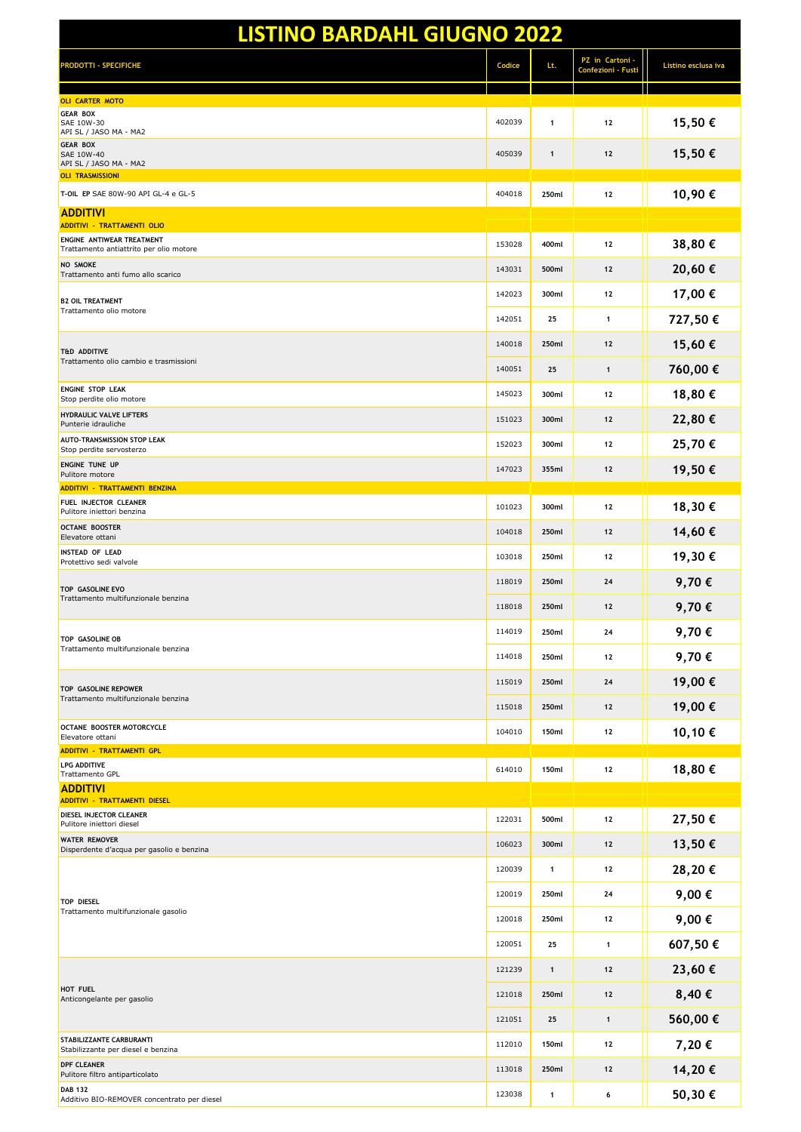| <b>LISTINO BARDAHL GIUGNO 2022</b>                                          |        |              |                                       |                     |  |
|-----------------------------------------------------------------------------|--------|--------------|---------------------------------------|---------------------|--|
| <b>RODOTTI - SPECIFICHE</b>                                                 | Codice | Lt.          | PZ in Cartoni -<br>Confezioni - Fusti | Listino esclusa iva |  |
| <b>OLI CARTER MOTO</b>                                                      |        |              |                                       |                     |  |
| <b>GEAR BOX</b><br>SAE 10W-30<br>API SL / JASO MA - MA2                     | 402039 | $\mathbf{1}$ | 12                                    | 15,50€              |  |
| <b>GEAR BOX</b><br>SAE 10W-40<br>API SL / JASO MA - MA2                     | 405039 | $\mathbf{1}$ | $12$                                  | 15,50€              |  |
| <b>OLI TRASMISSIONI</b><br>T-OIL EP SAE 80W-90 API GL-4 e GL-5              | 404018 | 250ml        | 12                                    | 10,90€              |  |
| <b>ADDITIVI</b><br><b>ADDITIVI - TRATTAMENTI OLIO</b>                       |        |              |                                       |                     |  |
| ENGINE ANTIWEAR TREATMENT                                                   | 153028 | 400ml        | 12                                    | 38,80€              |  |
| Trattamento antiattrito per olio motore<br><b>NO SMOKE</b>                  | 143031 | 500ml        | $12$                                  | 20,60€              |  |
| Trattamento anti fumo allo scarico                                          | 142023 | 300ml        | 12                                    | 17,00 €             |  |
| <b>B2 OIL TREATMENT</b><br>Trattamento olio motore                          | 142051 | 25           | $\mathbf{1}$                          | 727,50€             |  |
|                                                                             | 140018 | 250ml        | 12                                    |                     |  |
| <b>T&amp;D ADDITIVE</b><br>Trattamento olio cambio e trasmissioni           |        |              |                                       | 15,60€              |  |
| <b>ENGINE STOP LEAK</b>                                                     | 140051 | 25           | $\mathbf{1}$                          | 760,00€             |  |
| Stop perdite olio motore<br><b>HYDRAULIC VALVE LIFTERS</b>                  | 145023 | 300ml        | 12                                    | 18,80€              |  |
| Punterie idrauliche                                                         | 151023 | 300ml        | 12                                    | 22,80€              |  |
| AUTO-TRANSMISSION STOP LEAK<br>Stop perdite servosterzo                     | 152023 | 300ml        | 12                                    | 25,70€              |  |
| ENGINE TUNE UP<br>Pulitore motore                                           | 147023 | 355ml        | 12                                    | 19,50€              |  |
| ADDITIVI - TRATTAMENTI BENZINA<br>FUEL INJECTOR CLEANER                     | 101023 | 300ml        | 12                                    | 18,30€              |  |
| Pulitore iniettori benzina<br><b>OCTANE BOOSTER</b><br>Elevatore ottani     | 104018 | 250ml        | $12$                                  | 14,60€              |  |
| <b>INSTEAD OF LEAD</b><br>Protettivo sedi valvole                           | 103018 | 250ml        | 12                                    | 19,30€              |  |
|                                                                             | 118019 | 250ml        | 24                                    | 9,70€               |  |
| TOP GASOLINE EVO<br>Trattamento multifunzionale benzina                     | 118018 | 250ml        | 12                                    | 9,70€               |  |
| TOP GASOLINE OB                                                             | 114019 | 250ml        | 24                                    | 9,70€               |  |
| Trattamento multifunzionale benzina                                         | 114018 | 250ml        | 12                                    | 9,70€               |  |
| TOP GASOLINE REPOWER                                                        | 115019 | 250ml        | 24                                    | 19,00€              |  |
| Trattamento multifunzionale benzina                                         | 115018 | 250ml        | $12$                                  | 19,00€              |  |
| OCTANE BOOSTER MOTORCYCLE<br>Elevatore ottani                               | 104010 | 150ml        | 12                                    | 10,10€              |  |
| <b>ADDITIVI - TRATTAMENTI GPL</b><br><b>LPG ADDITIVE</b><br>Trattamento GPL | 614010 | 150ml        | 12                                    | 18,80€              |  |
| <b>ADDITIVI</b>                                                             |        |              |                                       |                     |  |
| <b>ADDITIVI - TRATTAMENTI DIESEL</b><br>DIESEL INJECTOR CLEANER             | 122031 | 500ml        | 12                                    | 27,50€              |  |
| Pulitore iniettori diesel<br><b>WATER REMOVER</b>                           | 106023 | 300ml        | $12$                                  | 13,50€              |  |
| Disperdente d'acqua per gasolio e benzina                                   |        |              |                                       |                     |  |
|                                                                             | 120039 | $\mathbf{1}$ | 12                                    | 28,20€              |  |
| <b>TOP DIESEL</b><br>Trattamento multifunzionale gasolio                    | 120019 | 250ml        | 24                                    | 9,00€               |  |
|                                                                             | 120018 | 250ml        | 12                                    | 9,00€               |  |
|                                                                             | 120051 | 25           | $\mathbf{1}$                          | 607,50€             |  |
|                                                                             | 121239 | $\mathbf{1}$ | $12$                                  | 23,60€              |  |
| HOT FUEL<br>Anticongelante per gasolio                                      | 121018 | 250ml        | $12$                                  | 8,40€               |  |
|                                                                             | 121051 | 25           | $\mathbf{1}$                          | 560,00€             |  |
| <b>STABILIZZANTE CARBURANTI</b><br>Stabilizzante per diesel e benzina       | 112010 | 150ml        | 12                                    | 7,20€               |  |
| <b>DPF CLEANER</b><br>Pulitore filtro antiparticolato                       | 113018 | 250ml        | $12$                                  | 14,20€              |  |
| <b>DAB 132</b><br>Additivo BIO-REMOVER concentrato per diesel               | 123038 | $\mathbf{1}$ | 6                                     | 50,30€              |  |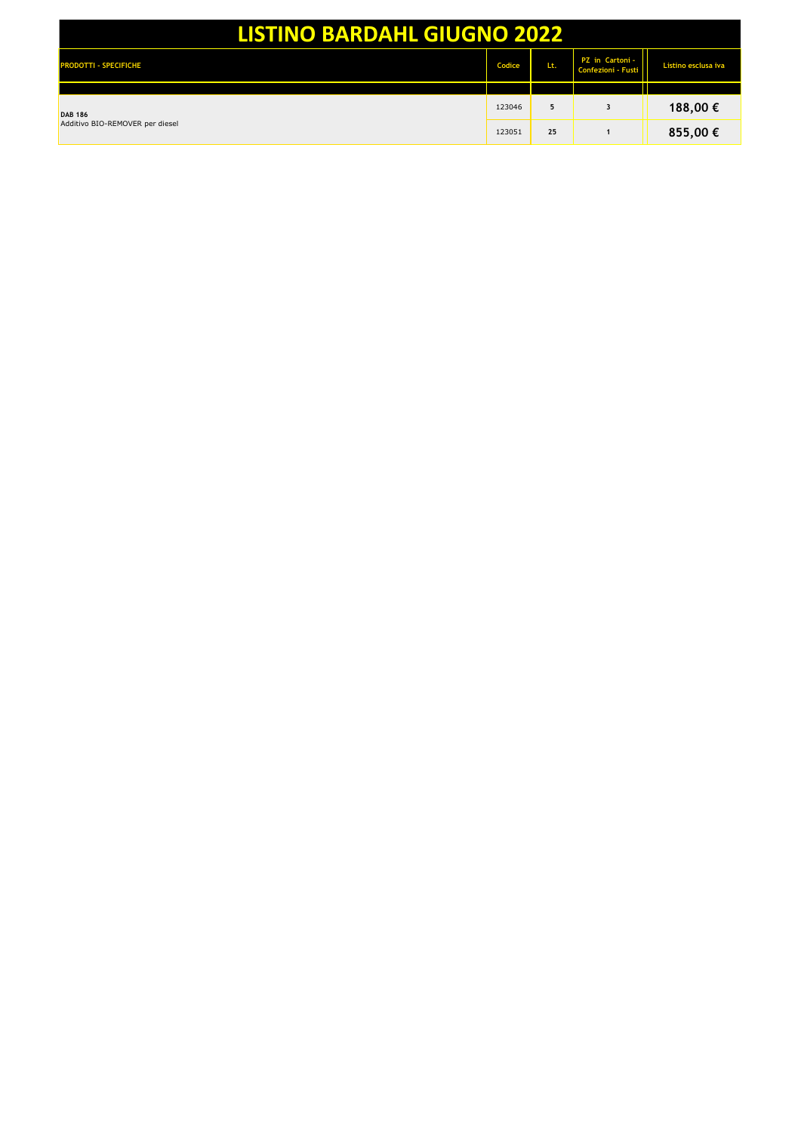| <b>LISTINO BARDAHL GIUGNO 2022</b>                |        |     |                                       |                     |
|---------------------------------------------------|--------|-----|---------------------------------------|---------------------|
| <b>PRODOTTI - SPECIFICHE</b>                      | Codice | Lt. | PZ in Cartoni -<br>Confezioni - Fusti | Listino esclusa iva |
|                                                   |        |     |                                       |                     |
| <b>DAB 186</b><br>Additivo BIO-REMOVER per diesel | 123046 | 5   | 3                                     | 188,00 €            |
|                                                   | 123051 | 25  |                                       | 855,00 €            |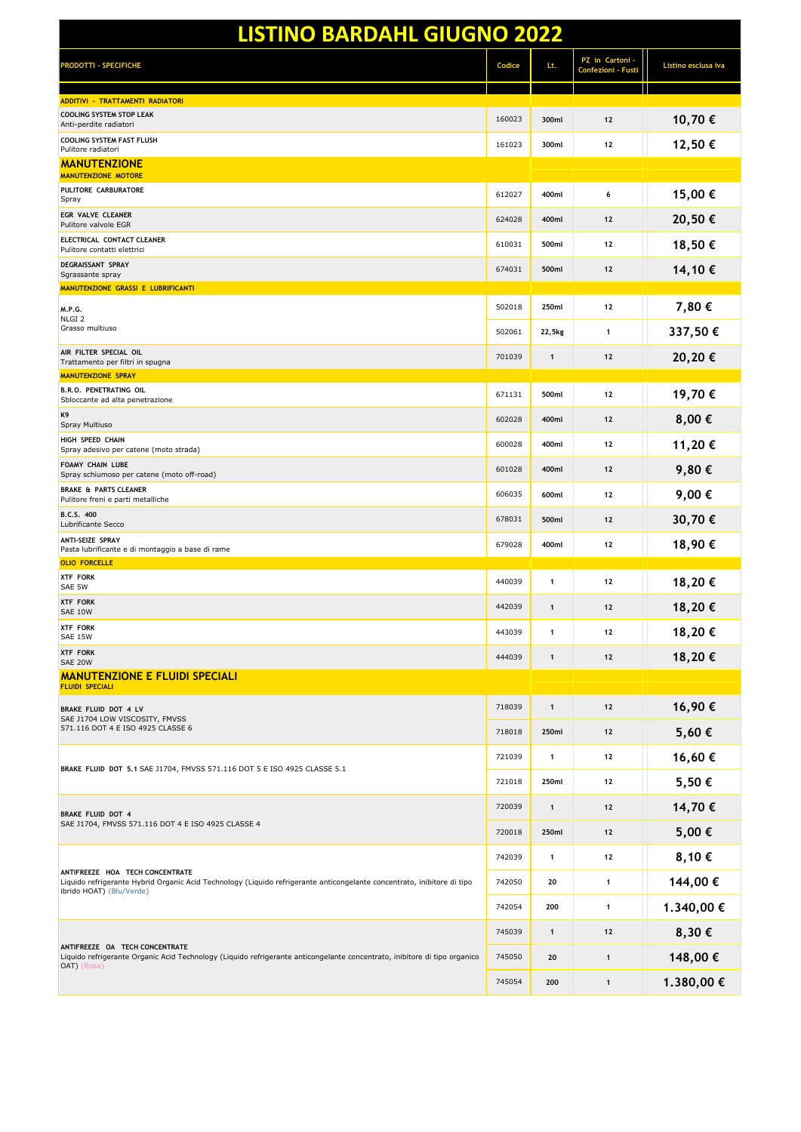| <b>LISTINO BARDAHL GIUGNO 2022</b>                                                                                                                                                     |        |              |                                       |                     |
|----------------------------------------------------------------------------------------------------------------------------------------------------------------------------------------|--------|--------------|---------------------------------------|---------------------|
| <b>RODOTTI - SPECIFICHE</b>                                                                                                                                                            | Codice | Lt.          | PZ in Cartoni -<br>Confezioni - Fusti | Listino esclusa iva |
| ADDITIVI - TRATTAMENTI RADIATORI                                                                                                                                                       |        |              |                                       |                     |
| <b>COOLING SYSTEM STOP LEAK</b><br>Anti-perdite radiatori                                                                                                                              | 160023 | 300ml        | 12                                    | 10,70€              |
| <b>COOLING SYSTEM FAST FLUSH</b><br>Pulitore radiatori                                                                                                                                 | 161023 | 300ml        | 12                                    | 12,50€              |
| <b>MANUTENZIONE</b><br><b>MANUTENZIONE MOTORE</b>                                                                                                                                      |        |              |                                       |                     |
| PULITORE CARBURATORE<br>Spray                                                                                                                                                          | 612027 | 400ml        | 6                                     | 15,00€              |
| <b>EGR VALVE CLEANER</b><br>Pulitore valvole EGR                                                                                                                                       | 624028 | 400ml        | 12                                    | 20,50€              |
| ELECTRICAL CONTACT CLEANER<br>Pulitore contatti elettrici                                                                                                                              | 610031 | 500ml        | 12                                    | 18,50€              |
| DEGRAISSANT SPRAY<br>Sgrassante spray                                                                                                                                                  | 674031 | 500ml        | 12                                    | 14,10€              |
| MANUTENZIONE GRASSI E LUBRIFICANTI                                                                                                                                                     |        |              |                                       |                     |
| M.P.G.<br>NLGI <sub>2</sub>                                                                                                                                                            | 502018 | 250ml        | 12                                    | 7,80 €              |
| Grasso multiuso                                                                                                                                                                        | 502061 | 22,5kg       | 1                                     | 337,50€             |
| AIR FILTER SPECIAL OIL<br>Trattamento per filtri in spugna<br><b>MANUTENZIONE SPRAY</b>                                                                                                | 701039 | 1            | 12                                    | 20,20€              |
| <b>B.R.O. PENETRATING OIL</b><br>Sbloccante ad alta penetrazione                                                                                                                       | 671131 | 500ml        | 12                                    | 19,70€              |
| K9<br>Spray Multiuso                                                                                                                                                                   | 602028 | 400ml        | 12                                    | 8,00€               |
| HIGH SPEED CHAIN<br>Spray adesivo per catene (moto strada)                                                                                                                             | 600028 | 400ml        | 12                                    | 11,20€              |
| <b>FOAMY CHAIN LUBE</b><br>Spray schiumoso per catene (moto off-road)                                                                                                                  | 601028 | 400ml        | 12                                    | 9,80€               |
| <b>BRAKE &amp; PARTS CLEANER</b><br>Pulitore freni e parti metalliche                                                                                                                  | 606035 | 600ml        | 12                                    | 9,00€               |
| <b>B.C.S. 400</b><br>Lubrificante Secco                                                                                                                                                | 678031 | 500ml        | 12                                    | 30,70€              |
| <b>ANTI-SEIZE SPRAY</b><br>Pasta lubrificante e di montaggio a base di rame                                                                                                            | 679028 | 400ml        | 12                                    | 18,90€              |
| <b>OLIO FORCELLE</b><br><b>XTF FORK</b>                                                                                                                                                |        |              |                                       |                     |
| SAE 5W                                                                                                                                                                                 | 440039 | 1            | 12                                    | 18,20€              |
| <b>XTF FORK</b><br>SAE 10W                                                                                                                                                             | 442039 | $\mathbf{1}$ | 12                                    | 18,20€              |
| <b>XTF FORK</b><br>SAE 15W                                                                                                                                                             | 443039 | 1            | 12                                    | 18,20€              |
| <b>XTF FORK</b><br>SAE 20W                                                                                                                                                             | 444039 | $\mathbf{1}$ | 12                                    | 18,20€              |
| <b>MANUTENZIONE E FLUIDI SPECIALI</b><br><b>FLUIDI SPECIALI</b>                                                                                                                        |        |              |                                       |                     |
| BRAKE FLUID DOT 4 LV<br>SAE J1704 LOW VISCOSITY, FMVSS                                                                                                                                 | 718039 | $\mathbf{1}$ | 12                                    | 16,90€              |
| 571.116 DOT 4 E ISO 4925 CLASSE 6                                                                                                                                                      | 718018 | 250ml        | 12                                    | 5,60€               |
| BRAKE FLUID DOT 5.1 SAE J1704, FMVSS 571.116 DOT 5 E ISO 4925 CLASSE 5.1                                                                                                               | 721039 | 1            | 12                                    | 16,60€              |
|                                                                                                                                                                                        | 721018 | 250ml        | 12                                    | 5,50€               |
| <b>BRAKE FLUID DOT 4</b>                                                                                                                                                               | 720039 | $\mathbf{1}$ | 12                                    | 14,70€              |
| SAE J1704, FMVSS 571.116 DOT 4 E ISO 4925 CLASSE 4                                                                                                                                     | 720018 | 250ml        | 12                                    | 5,00€               |
| ANTIFREEZE HOA TECH CONCENTRATE<br>Liquido refrigerante Hybrid Organic Acid Technology (Liquido refrigerante anticongelante concentrato, inibitore di tipo<br>ibrido HOAT) (Blu/Verde) | 742039 | 1            | 12                                    | 8,10€               |
|                                                                                                                                                                                        | 742050 | 20           | $\mathbf{1}$                          | 144,00€             |
|                                                                                                                                                                                        | 742054 | 200          | $\mathbf{1}$                          | 1.340,00 €          |
| ANTIFREEZE OA TECH CONCENTRATE                                                                                                                                                         | 745039 | $\mathbf{1}$ | 12                                    | 8,30€               |
| Liquido refrigerante Organic Acid Technology (Liquido refrigerante anticongelante concentrato, inibitore di tipo organico<br>OAT) (Rosa)                                               | 745050 | 20           | $\mathbf{1}$                          | 148,00 €            |
|                                                                                                                                                                                        | 745054 | 200          | $\mathbf{1}$                          | 1.380,00 €          |